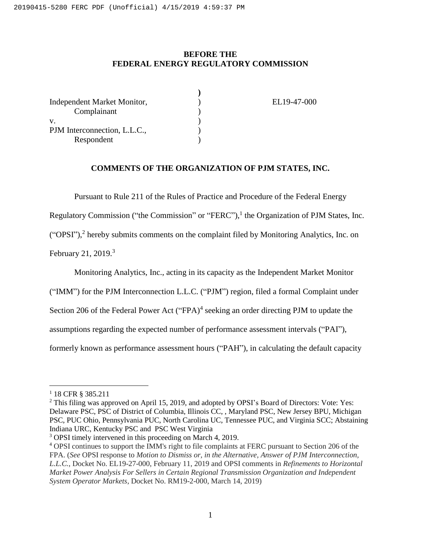## **BEFORE THE FEDERAL ENERGY REGULATORY COMMISSION**

| EL19-47-000 |
|-------------|
|             |
|             |
|             |
|             |
|             |

## **COMMENTS OF THE ORGANIZATION OF PJM STATES, INC.**

Pursuant to Rule 211 of the Rules of Practice and Procedure of the Federal Energy

Regulatory Commission ("the Commission" or "FERC"),<sup>1</sup> the Organization of PJM States, Inc.

("OPSI"),<sup>2</sup> hereby submits comments on the complaint filed by Monitoring Analytics, Inc. on

February 21, 2019.<sup>3</sup>

Monitoring Analytics, Inc., acting in its capacity as the Independent Market Monitor

("IMM") for the PJM Interconnection L.L.C. ("PJM") region, filed a formal Complaint under

Section 206 of the Federal Power Act ("FPA) $<sup>4</sup>$  seeking an order directing PJM to update the</sup>

assumptions regarding the expected number of performance assessment intervals ("PAI"),

formerly known as performance assessment hours ("PAH"), in calculating the default capacity

 $\overline{a}$ 

<sup>1</sup> 18 CFR § 385.211

<sup>&</sup>lt;sup>2</sup> This filing was approved on April 15, 2019, and adopted by OPSI's Board of Directors: Vote: Yes: Delaware PSC, PSC of District of Columbia, Illinois CC, , Maryland PSC, New Jersey BPU, Michigan PSC, PUC Ohio, Pennsylvania PUC, North Carolina UC, Tennessee PUC, and Virginia SCC; Abstaining Indiana URC, Kentucky PSC and PSC West Virginia

<sup>&</sup>lt;sup>3</sup> OPSI timely intervened in this proceeding on March 4, 2019.

<sup>4</sup> OPSI continues to support the IMM's right to file complaints at FERC pursuant to Section 206 of the FPA. (*See* OPSI response to *Motion to Dismiss or, in the Alternative, Answer of PJM Interconnection, L.L.C.*, Docket No. EL19-27-000, February 11, 2019 and OPSI comments in *Refinements to Horizontal Market Power Analysis For Sellers in Certain Regional Transmission Organization and Independent System Operator Markets*, Docket No. RM19-2-000, March 14, 2019)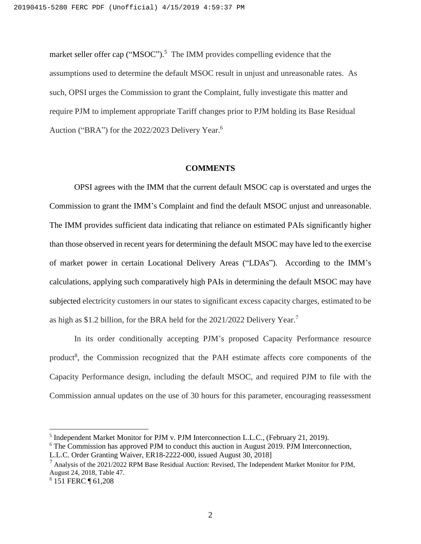market seller offer cap ("MSOC").<sup>5</sup> The IMM provides compelling evidence that the assumptions used to determine the default MSOC result in unjust and unreasonable rates. As such, OPSI urges the Commission to grant the Complaint, fully investigate this matter and require PJM to implement appropriate Tariff changes prior to PJM holding its Base Residual Auction ("BRA") for the 2022/2023 Delivery Year.<sup>6</sup>

#### **COMMENTS**

OPSI agrees with the IMM that the current default MSOC cap is overstated and urges the Commission to grant the IMM's Complaint and find the default MSOC unjust and unreasonable. The IMM provides sufficient data indicating that reliance on estimated PAIs significantly higher than those observed in recent years for determining the default MSOC may have led to the exercise of market power in certain Locational Delivery Areas ("LDAs"). According to the IMM's calculations, applying such comparatively high PAIs in determining the default MSOC may have subjected electricity customers in our states to significant excess capacity charges, estimated to be as high as \$1.2 billion, for the BRA held for the 2021/2022 Delivery Year.<sup>7</sup>

In its order conditionally accepting PJM's proposed Capacity Performance resource product<sup>8</sup>, the Commission recognized that the PAH estimate affects core components of the Capacity Performance design, including the default MSOC, and required PJM to file with the Commission annual updates on the use of 30 hours for this parameter, encouraging reassessment

 $\overline{a}$ 

<sup>&</sup>lt;sup>5</sup> Independent Market Monitor for PJM v. PJM Interconnection L.L.C., (February 21, 2019).

<sup>&</sup>lt;sup>6</sup> The Commission has approved PJM to conduct this auction in August 2019. PJM Interconnection, L.L.C. Order Granting Waiver, ER18-2222-000, issued August 30, 2018]

 $^7$  Analysis of the 2021/2022 RPM Base Residual Auction: Revised, The Independent Market Monitor for PJM, August 24, 2018, Table 47.

<sup>8</sup> 151 FERC ¶ 61,208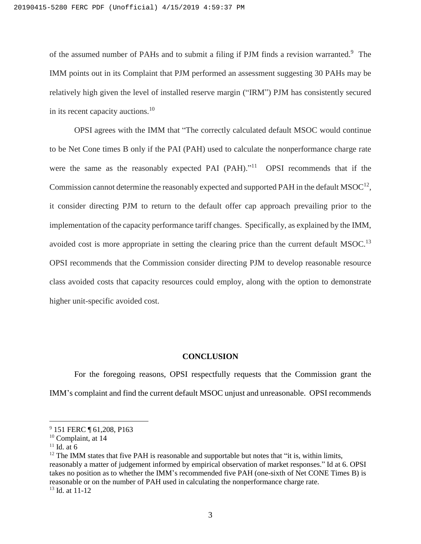of the assumed number of PAHs and to submit a filing if PJM finds a revision warranted.<sup>9</sup> The IMM points out in its Complaint that PJM performed an assessment suggesting 30 PAHs may be relatively high given the level of installed reserve margin ("IRM") PJM has consistently secured in its recent capacity auctions.<sup>10</sup>

OPSI agrees with the IMM that "The correctly calculated default MSOC would continue to be Net Cone times B only if the PAI (PAH) used to calculate the nonperformance charge rate were the same as the reasonably expected PAI (PAH)."<sup>11</sup> OPSI recommends that if the Commission cannot determine the reasonably expected and supported PAH in the default  $MSOC^{12}$ , it consider directing PJM to return to the default offer cap approach prevailing prior to the implementation of the capacity performance tariff changes. Specifically, as explained by the IMM, avoided cost is more appropriate in setting the clearing price than the current default MSOC.<sup>13</sup> OPSI recommends that the Commission consider directing PJM to develop reasonable resource class avoided costs that capacity resources could employ, along with the option to demonstrate higher unit-specific avoided cost.

#### **CONCLUSION**

For the foregoing reasons, OPSI respectfully requests that the Commission grant the IMM's complaint and find the current default MSOC unjust and unreasonable. OPSI recommends

 $\overline{a}$ 

<sup>&</sup>lt;sup>9</sup> 151 FERC ¶ 61,208, P163

<sup>&</sup>lt;sup>10</sup> Complaint, at 14

 $11$  Id. at 6

 $12$  The IMM states that five PAH is reasonable and supportable but notes that "it is, within limits, reasonably a matter of judgement informed by empirical observation of market responses." Id at 6. OPSI takes no position as to whether the IMM's recommended five PAH (one-sixth of Net CONE Times B) is reasonable or on the number of PAH used in calculating the nonperformance charge rate.  $13$  Id. at 11-12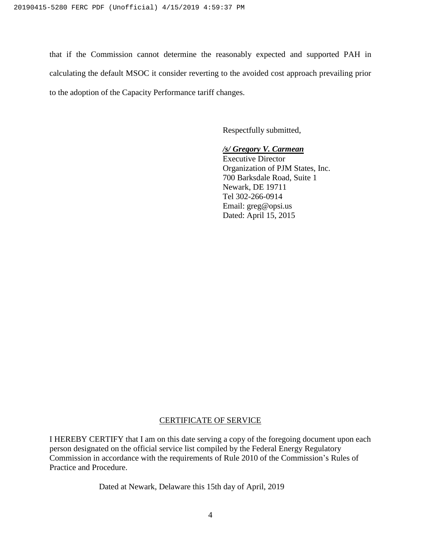that if the Commission cannot determine the reasonably expected and supported PAH in calculating the default MSOC it consider reverting to the avoided cost approach prevailing prior to the adoption of the Capacity Performance tariff changes.

Respectfully submitted,

## */s/ Gregory V. Carmean*

Executive Director Organization of PJM States, Inc. 700 Barksdale Road, Suite 1 Newark, DE 19711 Tel 302-266-0914 Email: greg@opsi.us Dated: April 15, 2015

# CERTIFICATE OF SERVICE

I HEREBY CERTIFY that I am on this date serving a copy of the foregoing document upon each person designated on the official service list compiled by the Federal Energy Regulatory Commission in accordance with the requirements of Rule 2010 of the Commission's Rules of Practice and Procedure.

Dated at Newark, Delaware this 15th day of April, 2019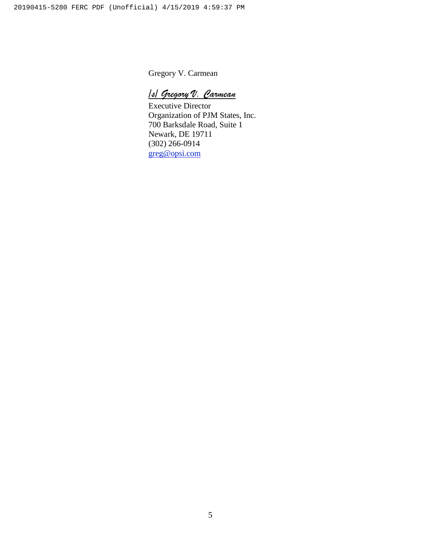Gregory V. Carmean

*/s/ Gregory V. Carmean*

Executive Director Organization of PJM States, Inc. 700 Barksdale Road, Suite 1 Newark, DE 19711 (302) 266-0914 [greg@opsi.com](mailto:greg@opsi.com)